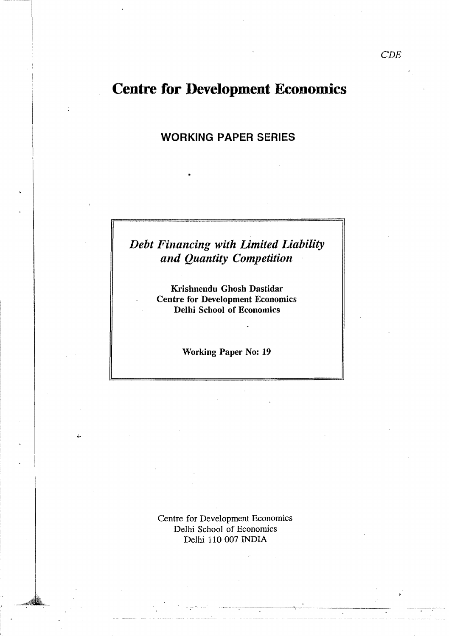# Centre for Development Economics

WORKING PAPER SERIES

## *Debt Financing with Limited Liability and Quantity Competition*

Krishnendu Ghosh Dastidar Centre for Development Economics Delhi School of Economics

Working Paper No: 19

Centre for Development Economics Delhi School of Economics Delhi 110 007 INDIA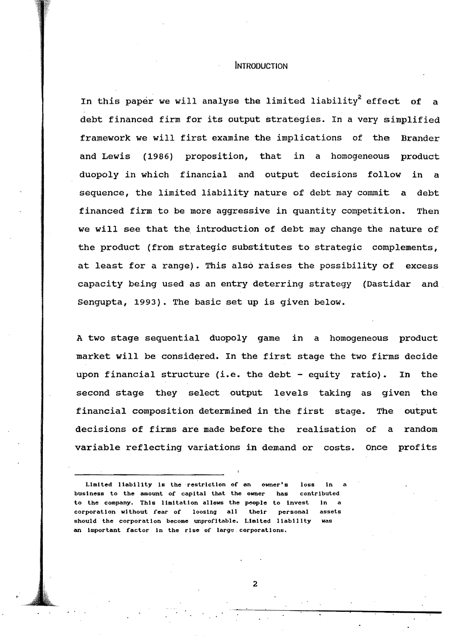#### INTRODUCTION

In this paper we will analyse the limited liability<sup>2</sup> effect of debt finanoed firm for its output strategies. In a very simplified framework we will first examine the implications of the Brander and Lewis (1986) proposition, that in a homogeneous product duopoly in which financial and output decisions follow in a sequence, the limited liability nature of debt may commit a debt financed firm to be more aggressive in quantity competition. Then we will see that the introduction of debt may change the nature of the product (from strategic substitutes to strategic oomplements, at least for a range). This also raises the possibility of excess capacity being used as an entry deterring strategy (Dastidar and Sengupta, 1993). The basic set up is given below.

A two stage sequential duopoly game in a homogeneous product market will be considered. In the first stage the two firms decide upon financial structure (i.e. the debt - equity ratio). In the second stage they select output levels taking as given the financial composition determined in the first stage. The output decisions of firms are made before the realisation of a random variable reflecting variations in demand or costs. Once profits

Limited liability is the restriction of an owner's loss in business to the amount of capital that the owner has contrIbuted to the company. This limitation allows the people to invest in corporation without fear of loosing all their personal assets should the corporation become unprofitable. Limited liability was an important factor in the rise of large corporations.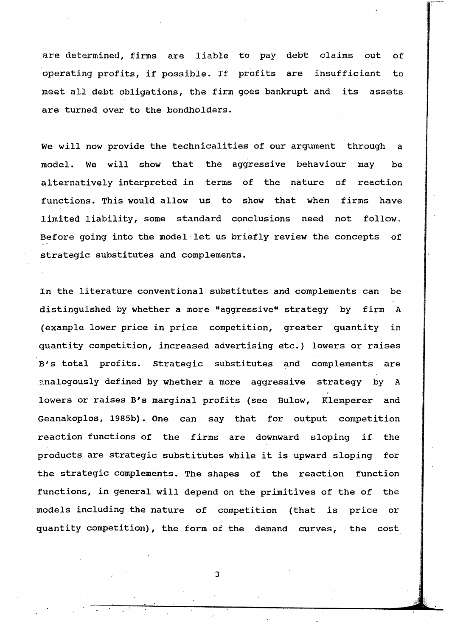are determined, firms are liable to pay debt claims out of operating profits, if possible. If profits are insufficient to meet all debt obligations, the firm goes bankrupt and its assets are turned over to the bondholders.

We will now provide the technicalities of our argument through a model. We will show that the aggressive behaviour may be alternatively interpreted in terms of the nature of reaction functions. This would allow us to show that when firms have limited liability, some standard conclusions need not follow. Before going into the model·let us briefly review the concepts of strategic substitutes and complements.

In the literature conventional SUbstitutes and complements can be distinguished by whether a more "aggressive" strategy by firm A (example lower price in price competition, greater quantity in quantity competition, increased advertising etc.) lowers or raises B's total profits. strategic substitutes and complements are analogously defined by whether a more aggressive strategy by A lowers or raises B's marginal profits (see Bulow, Klemperer and Geanakoplos, 1985b). One can say that for output competition reaction functions of the firms are downward sloping if the products are strategic SUbstitutes while it is upward sloping for the strategic complements. The shapes of the reaction function functions, in general will depend on the primitives of the of the models including the nature of competition (that is price or quantity competition), the form of the demand curves, the cost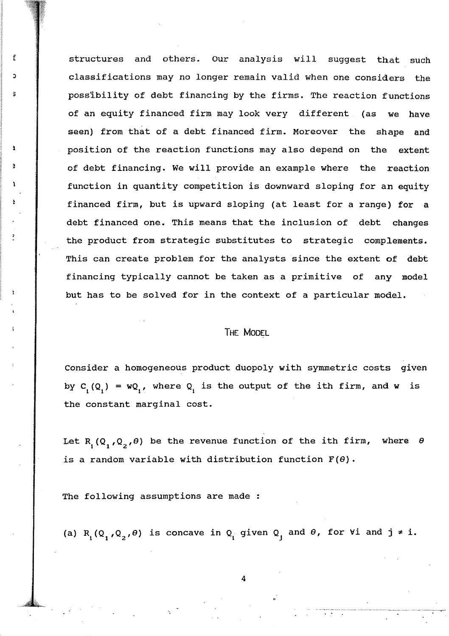f **i** structures and others. Our analysis will suggest that such classifications may no longer remain valid when one considers the possibility of debt financing by the firms. The reaction functions of an equity financed firm may look very different (as we have seen) from that of a debt financed firm. Moreover the shape and position of the reaction functions may also depend on the extent of debt financing. We will provide an example where the reaction function in quantity competition is downward sloping for an equity financed firm, but is upward sloping (at least for a range) for a debt financed one. This means that the inclusion of debt changes the product from strategic substitutes to strategic complements. This can create problem for the analysts since the extent of debt financing typically cannot be taken as a primitive of any model but has to be solved for in the context of a particular model.

#### THE MODEL

Consider a homogeneous product duopoly with symmetric costs given by C<sub>1</sub>(Q<sub>1</sub>) = wQ<sub>1</sub>, where Q<sub>1</sub> is the output of the ith firm, and w is the constant marginal cost.

Let R<sub>1</sub>(Q<sub>1</sub>,Q<sub>2</sub>, $\theta$ ) be the revenue function of the ith firm, where  $\theta$ is a random variable with distribution function  $F(\theta)$ .

The following assumptions are made :

1

(a)  $R_1(Q_1,Q_2,\theta)$  is concave in  $Q_1$  given  $Q_1$  and  $\theta$ , for  $\forall i$  and  $j \neq i$ .

4

"--'"--,------,----" --'--"~-------~-"'---"---"--'-~ .' .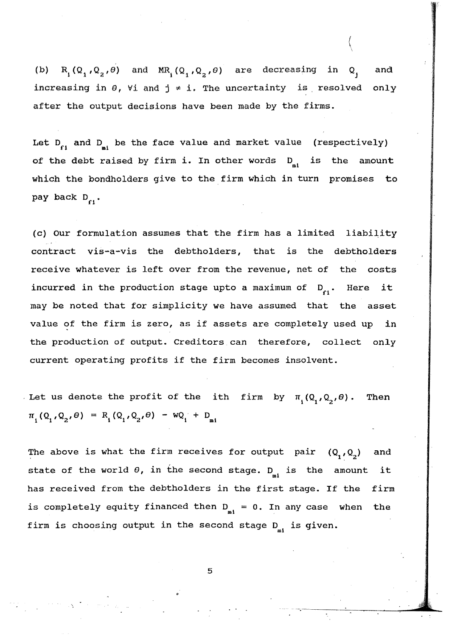$R_1(Q_1,Q_2,\theta)$  and  $MR_1(Q_1,Q_2,\theta)$  are decreasing in  $(b)$  $Q_{\rm x}$ and increasing in  $\theta$ ,  $\forall$ i and  $j \neq i$ . The uncertainty is resolved only after the output decisions have been made by the firms.

 $\langle$ 

Let  $D_{c}$ , and  $D_{n}$ , be the face value and market value (respectively) of the debt raised by firm i. In other words  $D_{n_1}$  is the amount which the bondholders give to the firm which in turn promises to pay back  $D_{\alpha}$ .

(c) Our formulation assumes that the firm has a limited liability contract vis-a-vis the debtholders, that is the debtholders receive whatever is left over from the revenue, net of the costs incurred in the production stage upto a maximum of  $D_{\alpha}$ . Here it may be noted that for simplicity we have assumed that the asset value of the firm is zero, as if assets are completely used up in the production of output. Creditors can therefore, collect only current operating profits if the firm becomes insolvent.

. Let us denote the profit of the ith firm by  $\pi_{i}(\mathbf{Q}_{i},\mathbf{Q}_{i},\theta)$ . Then  $\pi_1(Q_1,Q_2,\theta) = R_1(Q_1,Q_2,\theta) - WQ_1 + D_{n1}$ 

The above is what the firm receives for output pair  $(Q_1,Q_2)$  and state of the world  $\theta$ , in the second stage.  $D_{_{\textup{m}1}}$  is the amount it has received from the debtholders in the first stage. If the firm is completely equity financed then  $D_{m1} = 0$ . In any case when the firm is choosing output in the second stage  $D_{m1}$  is given.

5

.' .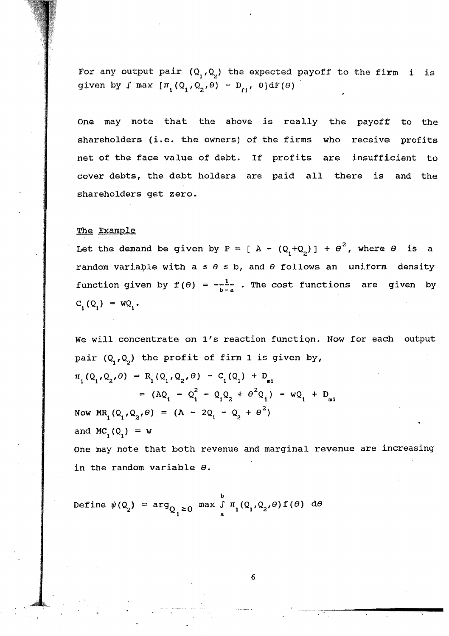For any output pair  $(Q_1,Q_2)$  the expected payoff to the firm i is given by  $\int$  max  $[\pi_1(Q_1,Q_2,\theta) - D_{\text{rf}}$ ,  $0]dF(\theta)$ 

One may note that the above is really the payoff to the shareholders (i.e. the owners) of the firms who receive profits net of the face value of debt. If profits are insufficient to cover debts, the debt holders are paid all there is and the shareholders get zero.

#### The Example

Let the demand be given by P = [ A -  $(Q_1 + Q_2)$  ] +  $\theta^2$ , where  $\theta$  is a random variable with a  $\leq \theta \leq b$ , and  $\theta$  follows an uniform density function given by  $f(\theta) = -\frac{1}{b-a}$ . The cost functions are given by  $C_i(Q_i) = WQ_i$ .

We will concentrate on l's reaction functiqn. Now for each output pair  $(Q_1,Q_2)$  the profit of firm 1 is given by,  $\pi_1(Q_1,Q_2,\theta) = R_1(Q_1,Q_2,\theta) - C_1(Q_1) + D_{m1}$ =  $(AQ_1 - Q_1^2 - Q_1 Q_2 + \theta^2 Q_1) - wQ_1 + D_{ml}$ Now  $MR_1(Q_1,Q_2,\theta) = (A - 2Q_1 - Q_2 + \theta^2)$ and MC<sub>1</sub> (Q<sub>1</sub>) = w

One may note that both revenue and marginal revenue are increasing in the random variable  $\theta$ .

b Define  $\psi(Q_2) = \arg_{Q_1 \geq 0} \max_{a} \int_{a} \pi_1(Q_1, Q_2, \theta) f(\theta) d\theta$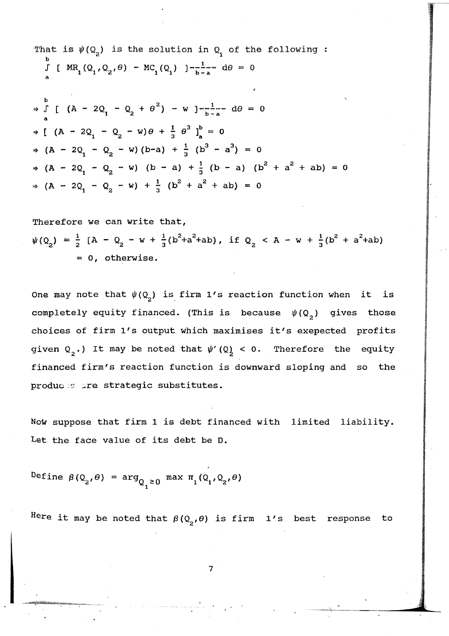That is 
$$
\psi(Q_2)
$$
 is the solution in  $Q_1$  of the following:  
\n
$$
\int_{a}^{b} [\ M R_1(Q_1, Q_2, \theta) - M C_1(Q_1)]^{-\frac{1}{b-a}} d\theta = 0
$$
\n
$$
\Rightarrow \int_{a}^{b} [(\mathbf{A} - 2Q_1 - Q_2 + \theta^2) - \mathbf{w}]^{-\frac{1}{b-a}} d\theta = 0
$$
\n
$$
\Rightarrow [(\mathbf{A} - 2Q_1 - Q_2 - \mathbf{w})\theta + \frac{1}{3}\theta^3]_a^b = 0
$$
\n
$$
\Rightarrow (\mathbf{A} - 2Q_1 - Q_2 - \mathbf{w})(b-a) + \frac{1}{3}\theta^3 - a^3 = 0
$$
\n
$$
\Rightarrow (\mathbf{A} - 2Q_1 - Q_2 - \mathbf{w})(b-a) + \frac{1}{3}\theta^3 - a^3 = 0
$$
\n
$$
\Rightarrow (\mathbf{A} - 2Q_1 - Q_2 - \mathbf{w}) + \frac{1}{3}\theta^2 + a^2 + ab = 0
$$

Therefore we can write that,  $\psi(Q_2) = \frac{1}{2} [A - Q_2 - w + \frac{1}{3} (b^2 + a^2 + ab), \text{if } Q_2 < A - w + \frac{1}{3} (b^2 + a^2 + ab)$ = 0, otherwise.

One may note that  $\psi(Q_2)$  is firm 1's reaction function when it is completely equity financed. (This is because  $\psi(Q_2)$  gives those choices of firm l's output which maximises it's exepected profits given  $Q_2$ .) It may be noted that  $\psi'(Q) < 0$ . Therefore the equity financed firm's reaction function is downward sloping and so the produc: in the strategic substitutes.

Now suppose that firm 1 is debt financed with limited liability. Let the face value of its debt be D.

Define  $\beta(Q_2, \theta) = \arg_{Q_1 \geq 0} \max \pi_1(Q_1, Q_2, \theta)$ 

Here it may be noted that  $\beta\left( \mathsf{Q}_{2},\theta\right)$  is firm  $1's$  best response to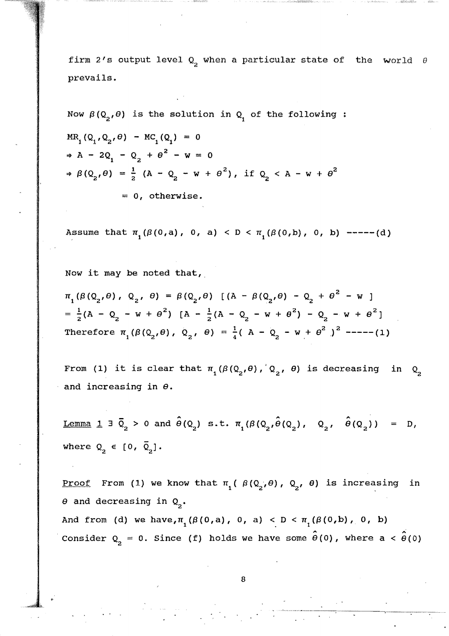firm 2's output level  $Q_2$  when a particular state of the world  $\theta$ prevails.

Now 
$$
\beta(Q_2, \theta)
$$
 is the solution in  $Q_1$  of the following:  
\n $MR_1(Q_1, Q_2, \theta) - MC_1(Q_1) = 0$   
\n $\Rightarrow A - 2Q_1 - Q_2 + \theta^2 - w = 0$   
\n $\Rightarrow \beta(Q_2, \theta) = \frac{1}{2} (A - Q_2 - w + \theta^2), \text{ if } Q_2 < A - w + \theta^2$   
\n $= 0, \text{ otherwise.}$ 

Assume that  $\pi_1(\beta(0,a), 0, a) < D < \pi_1(\beta(0,b), 0, b)$  -----(d)

Now it may be noted that,

 $\pi_{1}(\beta(Q_{2},\theta), Q_{2}, \theta) = \beta(Q_{2},\theta)$  [(A -  $\beta(Q_{2},\theta)$  -  $Q_{2}$  +  $\theta^{2}$  - w)  $\frac{1}{2}$ ( $\lambda = 0$  = v +  $\theta^2$ )  $\lambda = \frac{1}{2}$ ( $\lambda = 0$  = v +  $\theta^2$ ) = 0 = v +  $\theta^2$ =  $\frac{1}{2}$ (A - Q<sub>2</sub> - w +  $\theta^2$ ) [A -  $\frac{1}{2}$ (A - Q<sub>2</sub> - w +  $\theta^2$ ) - Q<sub>2</sub> - w +  $\theta^2$ ] Therefore  $\pi_1(\beta(Q_2, \theta), Q_2, \theta) = \frac{1}{4} (A - Q_2 - W + \theta^2)^2$  -----(1)

From (1) it is clear that  $\pi_1({\beta}({\mathbb Q}_2,{\theta})$ ,  ${\mathbb Q}_2$ ,  ${\theta}$ ) is decreasing in  ${\mathbb Q}_2$ and increasing in  $\theta$ .

Lemma 1  $\exists \bar{Q}_2 > 0$  and  $\hat{\theta}(Q_2)$  s.t.  $\pi_1(\beta(Q_2,\hat{\theta}(Q_2), Q_2, \hat{\theta}(Q_2)) = D$ where  $Q_2 \in [0, \bar{Q}_2]$ .

<u>Proof</u> From (1) we know that  $\pi_1$  ( $\beta$  ( $Q_2$ ,  $\theta$ ),  $Q_2$ ,  $\theta$ ) is increasing in  $\theta$  and decreasing in  $Q_2$ .

And from (d) we have,  $\pi_1 (\beta(0, a), 0, a) < D < \pi_1 (\beta(0, b), 0, b)$ Consider  $Q_2 = 0$ . Since (f) holds we have some  $\hat{\theta}(0)$ , where  $a < \hat{\theta}(0)$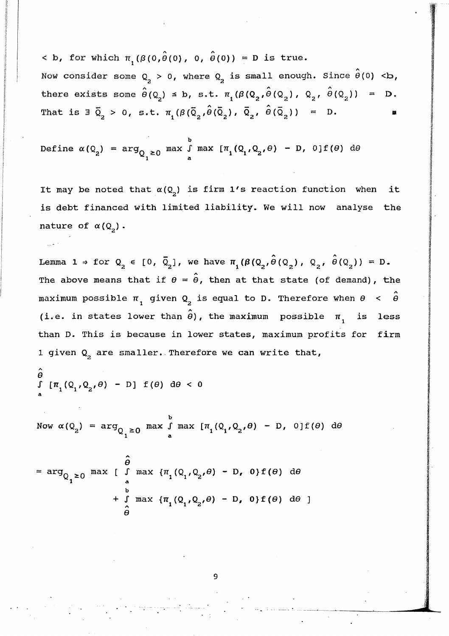$<$  b, for which  $\pi$ <sub>1</sub>( $\beta$ (0, $\hat{\theta}$ (0), 0,  $\hat{\theta}$ (0)) = D is true. Now consider some  $\texttt{Q}_{\texttt{2}}$  > 0, where  $\texttt{Q}_{\texttt{2}}$  is small enough. Since  $\hat{\boldsymbol{\theta}}(0)$  <br/>b, < b, for which  $\pi_1(\beta(0, \hat{\theta}(0), 0, \hat{\theta}(0)) = D$  is true.<br>Now consider some  $Q_2 > 0$ , where  $Q_2$  is small enough. Since  $\hat{\theta}(0) < b$ ,<br>there exists some  $\hat{\theta}(Q_2) \le b$ , s.t.  $\pi_1(\beta(Q_2, \hat{\theta}(Q_2), Q_2, \hat{\theta}(Q_2)) = D$ . That is  $\overline{a}_2 > 0$ , s.t.  $\pi_1(\beta(\overline{Q}_2,\hat{\theta}(\overline{Q}_2)), \overline{Q}_2, \hat{\theta}(\overline{Q}_2)) = D$ .

Define  $\alpha(Q_2)$  =  $\arg_{Q_1 \geq 0}$  max  $\int_a^b$  max  $[\pi_1(Q_1, Q_2, \theta) - D, 0] f(\theta)$  de

It may be noted that  $\alpha(Q_2)$  is firm 1's reaction function when it is debt financed with limited liability. We will now analyse the nature of  $\alpha(Q_2)$ .

Lemma 1  $\Rightarrow$  for  $Q_2 \in [0, \bar{Q}_2]$ , we have  $\pi_1(\beta(Q_2, \hat{\theta}(Q_2), Q_2, \hat{\theta}(Q_2)) = D$ . The above means that if  $\theta = \hat{\theta}$ , then at that state (of demand), the maximum possible  $\pi_{1}$  given  $\mathsf{Q}_{2}$  is equal to D. Therefore when  $\theta$  <  $\hat{\theta}$ (i.e. in states lower than  $\hat{\boldsymbol{\theta}}$ ), the maximum possible  $\boldsymbol{\pi}_{_{1}}$ less than D. This is because in lower states, maximum profits for firm 1 given  $Q_2$  are smaller. Therefore we can write that,

$$
\int_{a} [\pi_1(Q_1, Q_2, \theta) - D] f(\theta) d\theta < 0
$$

A

.' .

b Now  $\alpha(Q_2)$  =  $\arg_{Q_1 \geq 0}$  max  $\int_a^b \max_{q_1, q_2, \theta} [ \pi_1(Q_1, Q_2, \theta) - D$ , 0] $f(\theta)$  de

$$
= \arg_{Q_{1}\geq 0} \max_{\begin{array}{c} \text{max} \\ \text{max} \end{array}} \left[ \begin{array}{c} \hat{\theta} \\ \text{max} \\ \text{max} \end{array} \right] \left\{ \begin{array}{c} \pi_{1}(Q_{1}, Q_{2}, \theta) - D, \ 0 \} f(\theta) \ d\theta \\ + \int_{\hat{\theta}}^{\text{b}} \max \{ \pi_{1}(Q_{1}, Q_{2}, \theta) - D, \ 0 \} f(\theta) \ d\theta \end{array} \right]
$$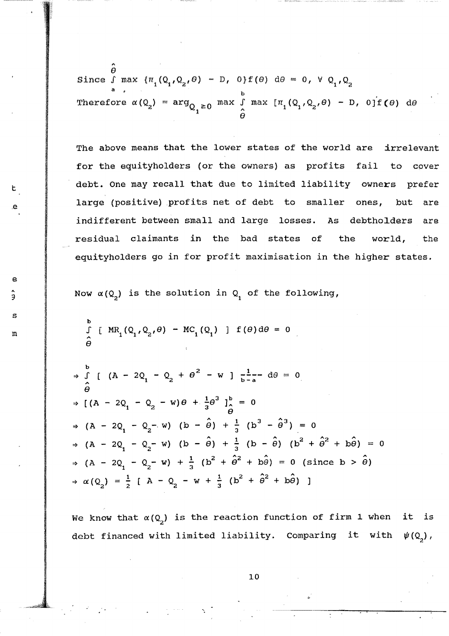$\hat{\boldsymbol{\theta}}$ Since  $\int$  max  $\{\pi_1(Q_1,Q_2,\theta) - D$ ,  $0\}f(\theta) d\theta = 0$ ,  $\forall Q_1,Q_2$ a • Therefore  $\alpha(Q_2)$ 

The above means that the lower states of the world are irrelevant for the equityholders (or the owners) as profits fail to cover  $t$  debt. One may recall that due to limited liability owners prefer large (positive) profits net of debt to smaller ones, but are indifferent between small and large losses. As debtholders are residual claimants in the bad states of the world, the equityholders go in for profit maximisation in the higher states.

Now  $\alpha(Q_2)$  is the solution in  $Q_1$  of the following,

$$
\mathbb{D} \qquad \qquad \int_{\hat{\Theta}}^{b} \left[ MR_1(Q_1, Q_2, \theta) - MC_1(Q_1) \right] f(\theta) d\theta = 0
$$

e

s

Э

 $\Rightarrow$   $\int_{0}^{b}$  [ (A - 2Q<sub>1</sub> - Q<sub>2</sub> +  $\theta^{2}$  - w ]  $\frac{1}{b-a}$  d $\theta = 0$  $\hat{\theta}$  $\Rightarrow$   $[(A - 2Q_1 - Q_2 - w)\theta + \frac{1}{3}\theta^3]_0^b = 0$  $\hat{\theta}$   $\hat{\theta}$  $\Rightarrow$  (A - 2Q<sub>1</sub> - Q<sub>2</sub> - w) (b -  $\hat{\theta}$ ) +  $\frac{1}{3}$  (b<sup>3</sup> -  $\hat{\theta}^3$ ) = 0  $\Rightarrow$  (A - 2Q<sub>1</sub> - Q<sub>2</sub>- w) (b -  $\hat{\theta}$ ) +  $\frac{1}{3}$  (b -  $\hat{\theta}$ ) (b<sup>2</sup> +  $\hat{\theta}^2$  + b $\hat{\theta}$ ) = 0  $(A - 2Q_1 - Q_2 - w) + \frac{1}{3} (b^2 + \hat{\theta}^2 + b\hat{\theta}) = 0$  (since  $b > \hat{\theta}$ )  $\Rightarrow \alpha(Q_2) = \frac{1}{2} [A - Q_2 - W + \frac{1}{3} (b^2 + \hat{\theta}^2 + b\hat{\theta})]$ 

We know that  $\alpha(Q_2)$  is the reaction function of firm 1 when it is debt financed with limited liability. Comparing it with  $\psi(Q_2)$ ,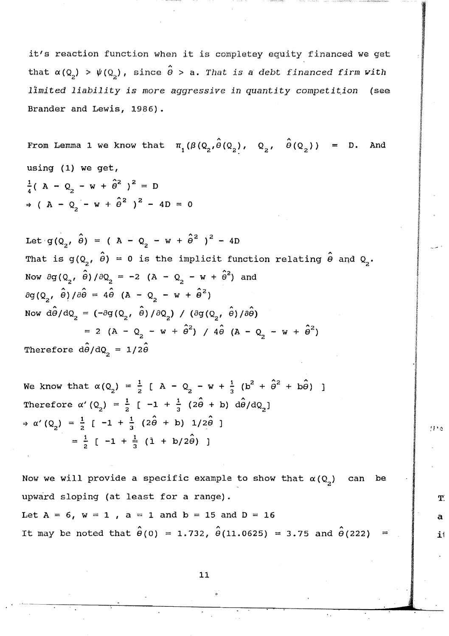it's reaction function when it is completey equity financed we get that  $\alpha$ (Q<sub>2</sub>) >  $\psi$ (Q<sub>2</sub>), since  $\hat{\theta}$  > a. *That is a debt financed firm with limited liability is more aggressive in quantity competit.ion* (see Brander and Lewis, 1986).

From Lemma 1 we know that  $\pi_{_1}(\beta\,(\text{\sf Q}_2^{},\hat{\theta}\,(\text{\sf Q}_2^{}),\quad \text{\sf Q}_2^{},\quad \hat{\theta}\,(\text{\sf Q}_2^{}))$  = D. And using (1) we get,  $\frac{1}{4}$ ( A - Q<sub>2</sub> - w +  $\hat{\theta}^2$  )<sup>2</sup> = D  $\Rightarrow$  ( A - Q<sub>2</sub> - w +  $\hat{\theta}^2$  )<sup>2</sup> - 4D = 0

Let  $g(Q_2, \hat{\theta}) = (A - Q_2 - w + \hat{\theta}^2)^2 - 4D$ That is  $g(Q_2, \hat{\theta}) = 0$  is the implicit function relating  $\hat{\theta}$  and  $Q_2$ . 2 A Now  $\partial g(Q_2, \theta)/\partial Q_2 = -2 (A - Q_2 - W + \theta^2)$  and  $\partial g(Q_2, \hat{\theta})/\partial \hat{\theta} = 4\hat{\theta} (A - Q_2 - w + \hat{\theta}^2)$ Now  $\hat{d\theta}/dQ_2 = (-\partial q \left(Q_2, \hat{\theta}\right)/\partial Q_2)$  /  $(\partial q \left(Q_2, \hat{\theta}\right)/\partial \hat{\theta})$  $= 2 (A - Q_2 - w + \hat{\theta}^2) / 4\hat{\theta} (A - Q_2 - w + \hat{\theta}^2)$ Therefore  $\hat{d\theta}/dQ_{2} = 1/2\hat{\theta}$ 

Therefore 
$$
d\theta/dQ_2 = 1/2\theta
$$
  
\nWe know that  $\alpha(Q_2) = \frac{1}{2} [A - Q_2 - w + \frac{1}{3} (b^2 + \hat{\theta}^2 + b\hat{\theta})]$   
\nTherefore  $\alpha'(Q_2) = \frac{1}{2} [-1 + \frac{1}{3} (2\hat{\theta} + b) d\hat{\theta}/dQ_2]$   
\n $\Rightarrow \alpha'(Q_2) = \frac{1}{2} [-1 + \frac{1}{3} (2\hat{\theta} + b) 1/2\hat{\theta}]$   
\n $= \frac{1}{2} [-1 + \frac{1}{3} (1 + b/2\hat{\theta}) ]$ 

Now we will provide a specific example to show that  $\alpha(Q_2)$  can be upward sloping (at least for a range).  $T:$ Let  $A = 6$ ,  $w = 1$ ,  $a = 1$  and  $b = 15$  and  $D = 16$  and  $a = 1$ It may be noted that  $\hat{\theta}(0) = 1.732$ ,  $\hat{\theta}(11.0625) = 3.75$  and  $\hat{\theta}(222) = 1$  if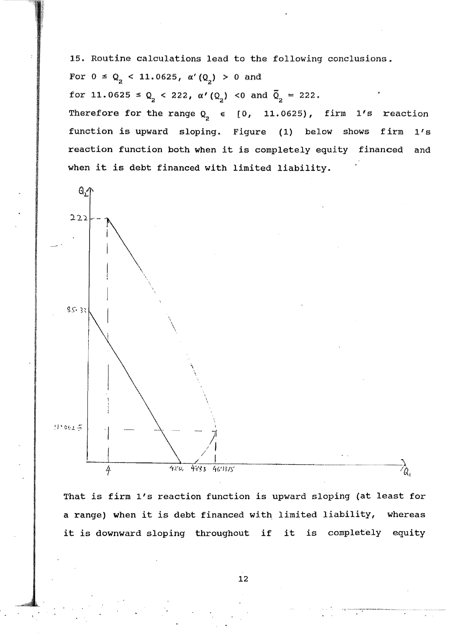15. Routine calculations lead to the following conclusions.

For  $0 \le Q_2 < 11.0625$ ,  $\alpha'(Q_2) > 0$  and

for 11.0625  $\leq Q_2 < 222$ ,  $\alpha'(Q_2) < 0$  and  $\overline{Q}_2 = 222$ .

Therefore for the range  $Q_2 \in [0, 11.0625)$ , firm  $1's$  reaction function is upward sloping. Figure (1) below shows firm 1's reaction function both when it is completely equity financed and when *it* is debt financed with limited liability.



That is firm l's reaction function is upward sloping (at least for a range) when it is debt financed with limited liability, whereas *it* is downward sloping throughout if it is completely equity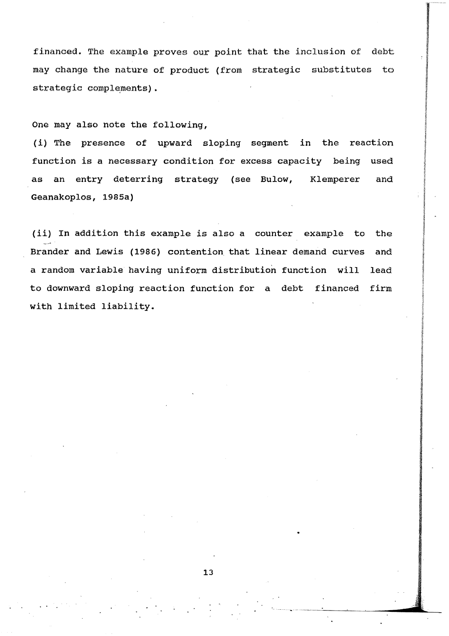financed. The example proves our point that the inclusion of debt may change the nature of product (from strategic substitutes to strategic complements).

One may also note the following,

 $\cdot$  .

(i) The presence of upward sloping segment in the reaction function is a necessary condition for excess capacity being used as an entry deterring strategy (see Bulow, Klemperer and Geanakoplos, 1985a)

(ii) In addition this example is also a counter example to the Brander and Lewis (1986) contention that linear demand curves and a random variable having uniform distribution function will lead to downward sloping reaction function for a debt financed firm with limited liability.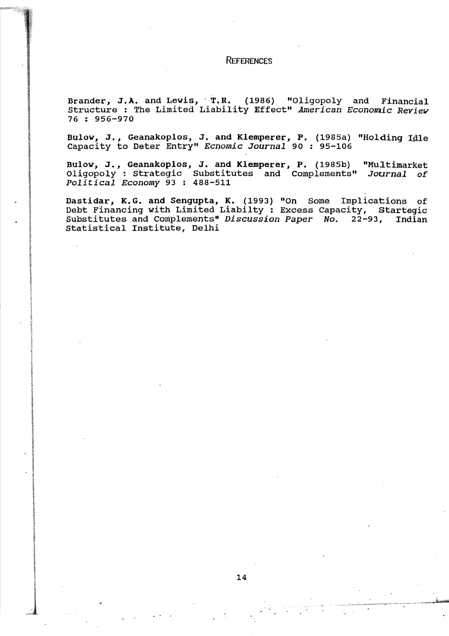#### **REFERENCES**

Brander, J.A. and Lewis, T.R. (1986) "Oligopoly and Financial Structure : The Limited Liability Effect" *American Economic Review* 76 : 956-970

Bulow, J., Geanakoplos, J. and Klemperer, P. (1985a) "Holding Idle capacity to Deter Entry" *Ecnomic Journal* 90 ; 95-106

Bulow, J., Geanakoplos, J. and Klemperer, P. (1985b) "Multimarket Oligopoly: strategic Substitutes and Complements" *Journal of Political Economy* 93 : 488-511

Dastidar, K.G. and Sengupta, K. (1993) "On Some Implications of Debt Financing with Limited Liabilty: Excess Capacity, Startegic<br>Substitutes and Complements" Discussion Paper No. 22-93, Indian Substitutes and Complements" *Discussion Paper No.* 22-93, Statistical Institute, Delhi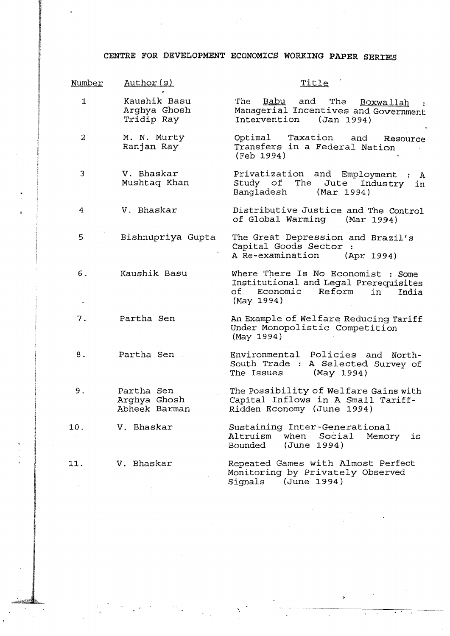### CENTRE FOR DEVELOPMENT ECONOMICS WORKING **PAPER** SERIBS

 $\frac{1}{2} \frac{1}{2} \frac{1}{2} \frac{1}{2}$ 

 $\mathcal{A}^{\mathcal{A}}$ 

| Number         | Author (s)                                  | Title                                                                                                                             |
|----------------|---------------------------------------------|-----------------------------------------------------------------------------------------------------------------------------------|
| $\mathbf{1}$   | Kaushik Basu<br>Arghya Ghosh<br>Tridip Ray  | and The Boxwallah<br>The<br>Babu<br>Managerial Incentives and Government<br>Intervention (Jan 1994)                               |
| $\overline{c}$ | M. N. Murty<br>Ranjan Ray                   | Taxation and<br>Optimal<br>Resource<br>Transfers in a Federal Nation<br>(Feb 1994)                                                |
| 3              | V. Bhaskar<br>Mushtaq Khan                  | Privatization and Employment :<br>$\mathbf{A}$<br>Study of The Jute Industry<br>in<br>Bangladesh (Mar 1994)                       |
| 4              | V. Bhaskar                                  | Distributive Justice and The Control<br>of Global Warming (Mar 1994)                                                              |
| 5              | Bishnupriya Gupta                           | The Great Depression and Brazil's<br>Capital Goods Sector :<br>A Re-examination<br>(Apr 1994)                                     |
| 6.             | Kaushik Basu                                | Where There Is No Economist : Some<br>Institutional and Legal Prerequisites<br>of Economic<br>Reform<br>in<br>India<br>(May 1994) |
| 7.             | Partha Sen                                  | An Example of Welfare Reducing Tariff<br>Under Monopolistic Competition<br>(May 1994)                                             |
| 8.             | Partha Sen                                  | Environmental Policies and<br>North-<br>South Trade : A Selected Survey of<br>The Issues<br>(May 1994)                            |
| 9.             | Partha Sen<br>Arghya Ghosh<br>Abheek Barman | The Possibility of Welfare Gains with<br>Capital Inflows in A Small Tariff-<br>Ridden Economy (June 1994)                         |
| 10.            | V. Bhaskar                                  | Sustaining Inter-Generational<br>Altruism<br>when Social<br>Memory<br>is<br>Bounded<br>(June 1994)                                |
| 11.            | V. Bhaskar                                  | Repeated Games with Almost Perfect<br>Monitoring by Privately Observed<br>(June 1994)<br>Signals                                  |

 $\phi$  .

 $\mathcal{L}^{\mathcal{L}}$ 

**Contractor**